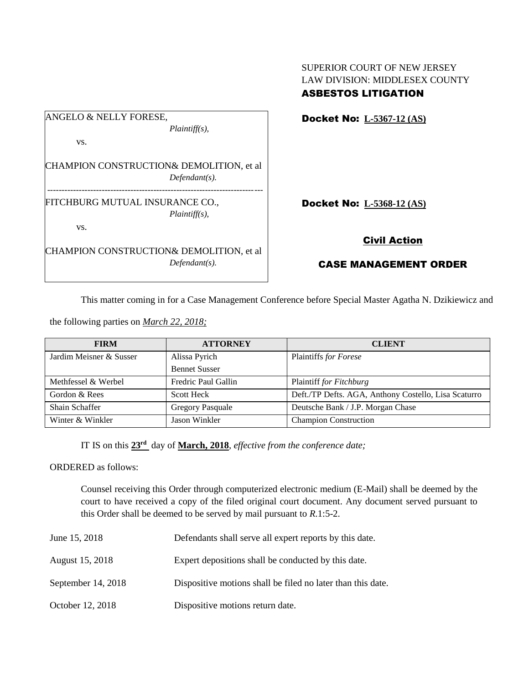| ANGELO & NELLY FORESE,          |                                          |
|---------------------------------|------------------------------------------|
|                                 | $Plaintiff(s)$ ,                         |
| VS.                             |                                          |
|                                 |                                          |
|                                 | CHAMPION CONSTRUCTION& DEMOLITION, et al |
|                                 | $Defendant(s)$ .                         |
|                                 |                                          |
| FITCHBURG MUTUAL INSURANCE CO., |                                          |
|                                 | $Plaintiff(s)$ ,                         |
| VS.                             |                                          |
|                                 | CHAMPION CONSTRUCTION& DEMOLITION, et al |
|                                 |                                          |
|                                 | $Defendant(s)$ .                         |

SUPERIOR COURT OF NEW JERSEY LAW DIVISION: MIDDLESEX COUNTY ASBESTOS LITIGATION

Docket No: **L-5367-12 (AS)**

Docket No: **L-5368-12 (AS)**

## Civil Action

## CASE MANAGEMENT ORDER

This matter coming in for a Case Management Conference before Special Master Agatha N. Dzikiewicz and

the following parties on *March 22, 2018;*

| <b>FIRM</b>             | <b>ATTORNEY</b>         | <b>CLIENT</b>                                        |
|-------------------------|-------------------------|------------------------------------------------------|
| Jardim Meisner & Susser | Alissa Pyrich           | Plaintiffs for Forese                                |
|                         | <b>Bennet Susser</b>    |                                                      |
| Methfessel & Werbel     | Fredric Paul Gallin     | Plaintiff for Fitchburg                              |
| Gordon & Rees           | <b>Scott Heck</b>       | Deft./TP Defts. AGA, Anthony Costello, Lisa Scaturro |
| Shain Schaffer          | <b>Gregory Pasquale</b> | Deutsche Bank / J.P. Morgan Chase                    |
| Winter & Winkler        | Jason Winkler           | <b>Champion Construction</b>                         |

IT IS on this **23rd** day of **March, 2018**, *effective from the conference date;*

ORDERED as follows:

Counsel receiving this Order through computerized electronic medium (E-Mail) shall be deemed by the court to have received a copy of the filed original court document. Any document served pursuant to this Order shall be deemed to be served by mail pursuant to *R*.1:5-2.

| June 15, 2018      | Defendants shall serve all expert reports by this date.     |  |
|--------------------|-------------------------------------------------------------|--|
| August 15, 2018    | Expert depositions shall be conducted by this date.         |  |
| September 14, 2018 | Dispositive motions shall be filed no later than this date. |  |
| October 12, 2018   | Dispositive motions return date.                            |  |